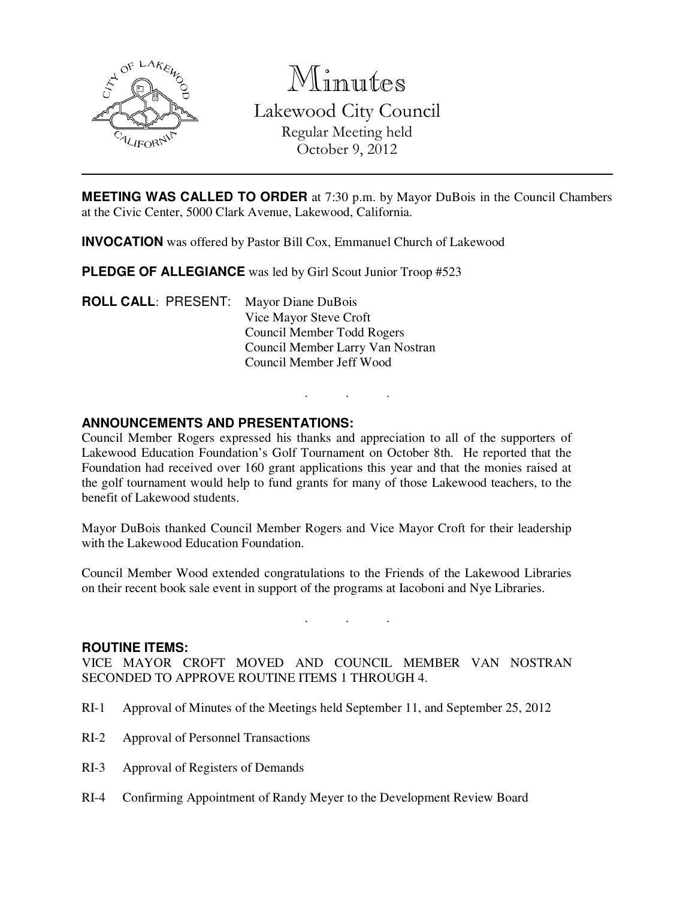

Minutes

Lakewood City Council Regular Meeting held October 9, 2012

**MEETING WAS CALLED TO ORDER** at 7:30 p.m. by Mayor DuBois in the Council Chambers at the Civic Center, 5000 Clark Avenue, Lakewood, California.

**INVOCATION** was offered by Pastor Bill Cox, Emmanuel Church of Lakewood

**PLEDGE OF ALLEGIANCE** was led by Girl Scout Junior Troop #523

**ROLL CALL**: PRESENT: Mayor Diane DuBois Vice Mayor Steve Croft Council Member Todd Rogers Council Member Larry Van Nostran Council Member Jeff Wood

### **ANNOUNCEMENTS AND PRESENTATIONS:**

Council Member Rogers expressed his thanks and appreciation to all of the supporters of Lakewood Education Foundation's Golf Tournament on October 8th. He reported that the Foundation had received over 160 grant applications this year and that the monies raised at the golf tournament would help to fund grants for many of those Lakewood teachers, to the benefit of Lakewood students.

. . .

Mayor DuBois thanked Council Member Rogers and Vice Mayor Croft for their leadership with the Lakewood Education Foundation.

Council Member Wood extended congratulations to the Friends of the Lakewood Libraries on their recent book sale event in support of the programs at Iacoboni and Nye Libraries.

. . .

**ROUTINE ITEMS:** 

VICE MAYOR CROFT MOVED AND COUNCIL MEMBER VAN NOSTRAN SECONDED TO APPROVE ROUTINE ITEMS 1 THROUGH 4.

- RI-1 Approval of Minutes of the Meetings held September 11, and September 25, 2012
- RI-2 Approval of Personnel Transactions
- RI-3 Approval of Registers of Demands
- RI-4 Confirming Appointment of Randy Meyer to the Development Review Board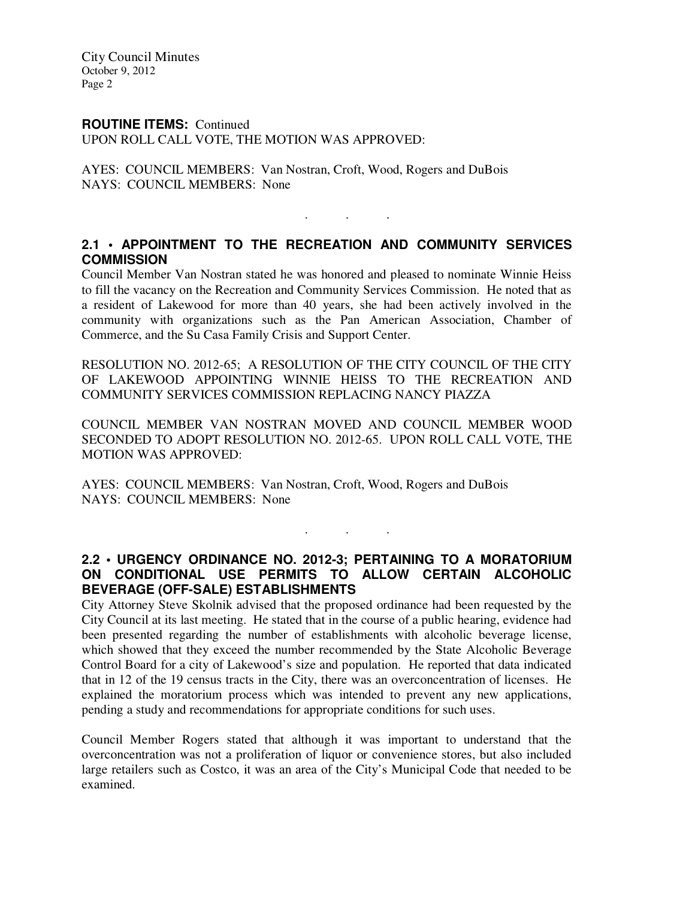City Council Minutes October 9, 2012 Page 2

#### **ROUTINE ITEMS:** Continued

UPON ROLL CALL VOTE, THE MOTION WAS APPROVED:

AYES: COUNCIL MEMBERS: Van Nostran, Croft, Wood, Rogers and DuBois NAYS: COUNCIL MEMBERS: None

# **2.1 • APPOINTMENT TO THE RECREATION AND COMMUNITY SERVICES COMMISSION**

. . .

Council Member Van Nostran stated he was honored and pleased to nominate Winnie Heiss to fill the vacancy on the Recreation and Community Services Commission. He noted that as a resident of Lakewood for more than 40 years, she had been actively involved in the community with organizations such as the Pan American Association, Chamber of Commerce, and the Su Casa Family Crisis and Support Center.

RESOLUTION NO. 2012-65; A RESOLUTION OF THE CITY COUNCIL OF THE CITY OF LAKEWOOD APPOINTING WINNIE HEISS TO THE RECREATION AND COMMUNITY SERVICES COMMISSION REPLACING NANCY PIAZZA

COUNCIL MEMBER VAN NOSTRAN MOVED AND COUNCIL MEMBER WOOD SECONDED TO ADOPT RESOLUTION NO. 2012-65. UPON ROLL CALL VOTE, THE MOTION WAS APPROVED:

AYES: COUNCIL MEMBERS: Van Nostran, Croft, Wood, Rogers and DuBois NAYS: COUNCIL MEMBERS: None

## **2.2 • URGENCY ORDINANCE NO. 2012-3; PERTAINING TO A MORATORIUM ON CONDITIONAL USE PERMITS TO ALLOW CERTAIN ALCOHOLIC BEVERAGE (OFF-SALE) ESTABLISHMENTS**

. . .

City Attorney Steve Skolnik advised that the proposed ordinance had been requested by the City Council at its last meeting. He stated that in the course of a public hearing, evidence had been presented regarding the number of establishments with alcoholic beverage license, which showed that they exceed the number recommended by the State Alcoholic Beverage Control Board for a city of Lakewood's size and population. He reported that data indicated that in 12 of the 19 census tracts in the City, there was an overconcentration of licenses. He explained the moratorium process which was intended to prevent any new applications, pending a study and recommendations for appropriate conditions for such uses.

Council Member Rogers stated that although it was important to understand that the overconcentration was not a proliferation of liquor or convenience stores, but also included large retailers such as Costco, it was an area of the City's Municipal Code that needed to be examined.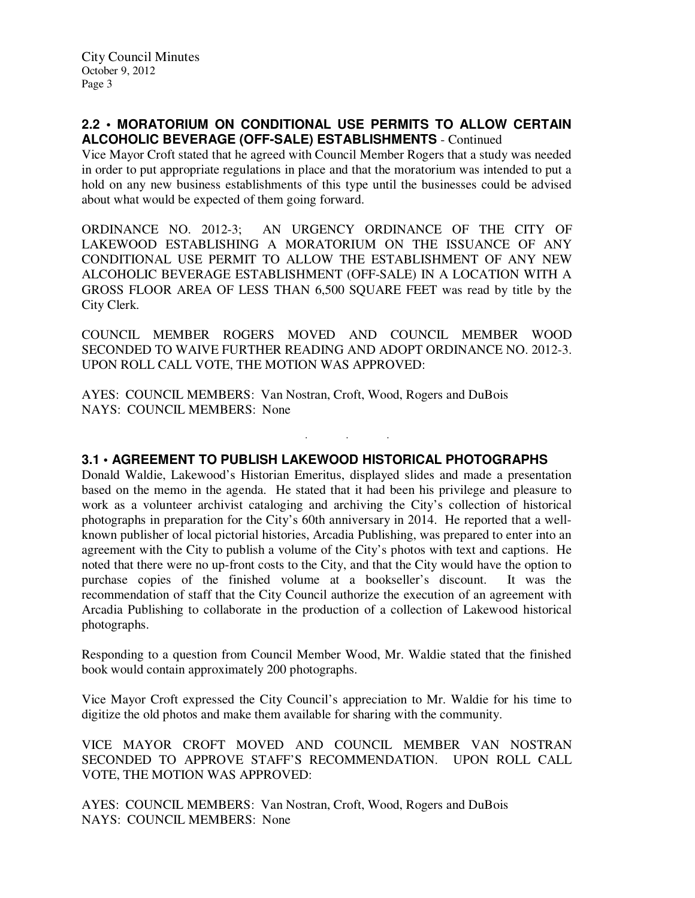### **2.2 • MORATORIUM ON CONDITIONAL USE PERMITS TO ALLOW CERTAIN ALCOHOLIC BEVERAGE (OFF-SALE) ESTABLISHMENTS** - Continued

Vice Mayor Croft stated that he agreed with Council Member Rogers that a study was needed in order to put appropriate regulations in place and that the moratorium was intended to put a hold on any new business establishments of this type until the businesses could be advised about what would be expected of them going forward.

ORDINANCE NO. 2012-3; AN URGENCY ORDINANCE OF THE CITY OF LAKEWOOD ESTABLISHING A MORATORIUM ON THE ISSUANCE OF ANY CONDITIONAL USE PERMIT TO ALLOW THE ESTABLISHMENT OF ANY NEW ALCOHOLIC BEVERAGE ESTABLISHMENT (OFF-SALE) IN A LOCATION WITH A GROSS FLOOR AREA OF LESS THAN 6,500 SQUARE FEET was read by title by the City Clerk.

COUNCIL MEMBER ROGERS MOVED AND COUNCIL MEMBER WOOD SECONDED TO WAIVE FURTHER READING AND ADOPT ORDINANCE NO. 2012-3. UPON ROLL CALL VOTE, THE MOTION WAS APPROVED:

. . .

AYES: COUNCIL MEMBERS: Van Nostran, Croft, Wood, Rogers and DuBois NAYS: COUNCIL MEMBERS: None

### **3.1 • AGREEMENT TO PUBLISH LAKEWOOD HISTORICAL PHOTOGRAPHS**

Donald Waldie, Lakewood's Historian Emeritus, displayed slides and made a presentation based on the memo in the agenda. He stated that it had been his privilege and pleasure to work as a volunteer archivist cataloging and archiving the City's collection of historical photographs in preparation for the City's 60th anniversary in 2014. He reported that a wellknown publisher of local pictorial histories, Arcadia Publishing, was prepared to enter into an agreement with the City to publish a volume of the City's photos with text and captions. He noted that there were no up-front costs to the City, and that the City would have the option to purchase copies of the finished volume at a bookseller's discount. It was the recommendation of staff that the City Council authorize the execution of an agreement with Arcadia Publishing to collaborate in the production of a collection of Lakewood historical photographs.

Responding to a question from Council Member Wood, Mr. Waldie stated that the finished book would contain approximately 200 photographs.

Vice Mayor Croft expressed the City Council's appreciation to Mr. Waldie for his time to digitize the old photos and make them available for sharing with the community.

VICE MAYOR CROFT MOVED AND COUNCIL MEMBER VAN NOSTRAN SECONDED TO APPROVE STAFF'S RECOMMENDATION. UPON ROLL CALL VOTE, THE MOTION WAS APPROVED:

AYES: COUNCIL MEMBERS: Van Nostran, Croft, Wood, Rogers and DuBois NAYS: COUNCIL MEMBERS: None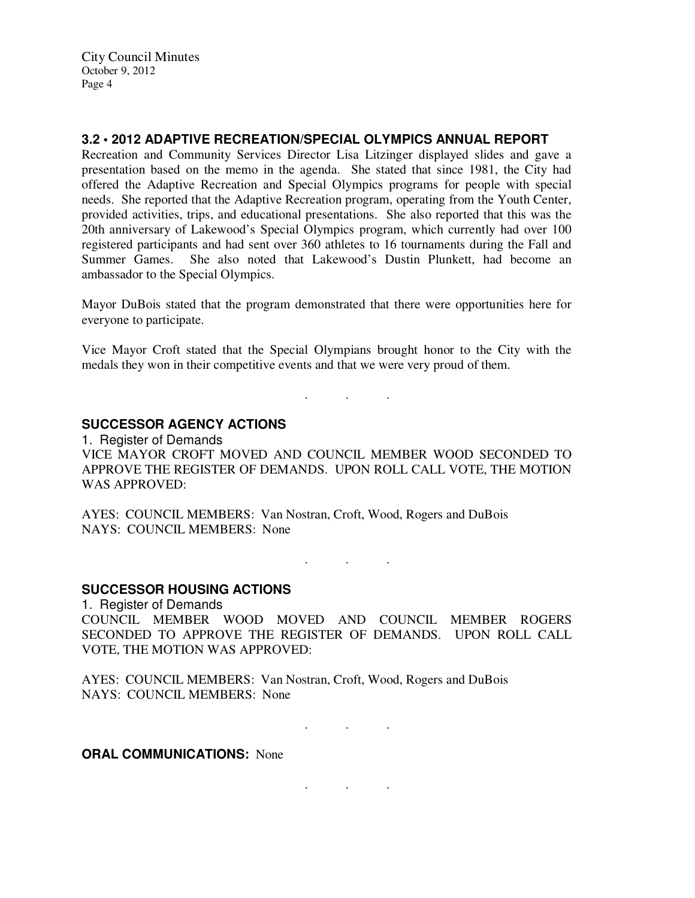City Council Minutes October 9, 2012 Page 4

#### **3.2 • 2012 ADAPTIVE RECREATION/SPECIAL OLYMPICS ANNUAL REPORT**

Recreation and Community Services Director Lisa Litzinger displayed slides and gave a presentation based on the memo in the agenda. She stated that since 1981, the City had offered the Adaptive Recreation and Special Olympics programs for people with special needs. She reported that the Adaptive Recreation program, operating from the Youth Center, provided activities, trips, and educational presentations. She also reported that this was the 20th anniversary of Lakewood's Special Olympics program, which currently had over 100 registered participants and had sent over 360 athletes to 16 tournaments during the Fall and Summer Games. She also noted that Lakewood's Dustin Plunkett, had become an ambassador to the Special Olympics.

Mayor DuBois stated that the program demonstrated that there were opportunities here for everyone to participate.

Vice Mayor Croft stated that the Special Olympians brought honor to the City with the medals they won in their competitive events and that we were very proud of them.

. . .

### **SUCCESSOR AGENCY ACTIONS**

1. Register of Demands VICE MAYOR CROFT MOVED AND COUNCIL MEMBER WOOD SECONDED TO APPROVE THE REGISTER OF DEMANDS. UPON ROLL CALL VOTE, THE MOTION WAS APPROVED:

AYES: COUNCIL MEMBERS: Van Nostran, Croft, Wood, Rogers and DuBois NAYS: COUNCIL MEMBERS: None

 $\mathbf{r}$  .  $\mathbf{r}$  ,  $\mathbf{r}$  ,  $\mathbf{r}$  ,  $\mathbf{r}$ 

#### **SUCCESSOR HOUSING ACTIONS**

1. Register of Demands COUNCIL MEMBER WOOD MOVED AND COUNCIL MEMBER ROGERS SECONDED TO APPROVE THE REGISTER OF DEMANDS. UPON ROLL CALL VOTE, THE MOTION WAS APPROVED:

AYES: COUNCIL MEMBERS: Van Nostran, Croft, Wood, Rogers and DuBois NAYS: COUNCIL MEMBERS: None

. . .

. . .

**ORAL COMMUNICATIONS: None**